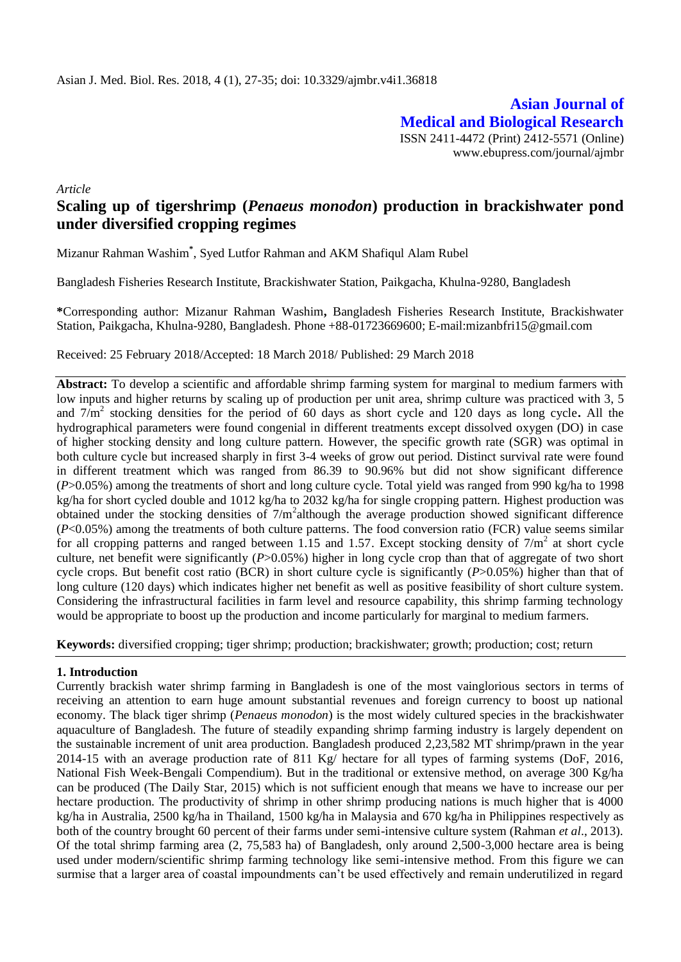**Asian Journal of Medical and Biological Research** ISSN 2411-4472 (Print) 2412-5571 (Online) www.ebupress.com/journal/ajmbr

*Article*

# **Scaling up of tigershrimp (***Penaeus monodon***) production in brackishwater pond under diversified cropping regimes**

Mizanur Rahman Washim**\*** , Syed Lutfor Rahman and AKM Shafiqul Alam Rubel

Bangladesh Fisheries Research Institute, Brackishwater Station, Paikgacha, Khulna-9280, Bangladesh

**\***Corresponding author: Mizanur Rahman Washim**,** Bangladesh Fisheries Research Institute, Brackishwater Station, Paikgacha, Khulna-9280, Bangladesh. Phone +88-01723669600; E-mail:mizanbfri15@gmail.com

Received: 25 February 2018/Accepted: 18 March 2018/ Published: 29 March 2018

**Abstract:** To develop a scientific and affordable shrimp farming system for marginal to medium farmers with low inputs and higher returns by scaling up of production per unit area, shrimp culture was practiced with 3, 5 and 7/m<sup>2</sup> stocking densities for the period of 60 days as short cycle and 120 days as long cycle**.** All the hydrographical parameters were found congenial in different treatments except dissolved oxygen (DO) in case of higher stocking density and long culture pattern. However, the specific growth rate (SGR) was optimal in both culture cycle but increased sharply in first 3-4 weeks of grow out period. Distinct survival rate were found in different treatment which was ranged from 86.39 to 90.96% but did not show significant difference (*P*>0.05%) among the treatments of short and long culture cycle. Total yield was ranged from 990 kg/ha to 1998 kg/ha for short cycled double and 1012 kg/ha to 2032 kg/ha for single cropping pattern. Highest production was obtained under the stocking densities of  $7/m^2$ although the average production showed significant difference (*P*<0.05%) among the treatments of both culture patterns. The food conversion ratio (FCR) value seems similar for all cropping patterns and ranged between 1.15 and 1.57. Except stocking density of  $7/m^2$  at short cycle culture, net benefit were significantly (*P*>0.05%) higher in long cycle crop than that of aggregate of two short cycle crops. But benefit cost ratio (BCR) in short culture cycle is significantly (*P*>0.05%) higher than that of long culture (120 days) which indicates higher net benefit as well as positive feasibility of short culture system. Considering the infrastructural facilities in farm level and resource capability, this shrimp farming technology would be appropriate to boost up the production and income particularly for marginal to medium farmers.

**Keywords:** diversified cropping; tiger shrimp; production; brackishwater; growth; production; cost; return

# **1. Introduction**

Currently brackish water shrimp farming in Bangladesh is one of the most vainglorious sectors in terms of receiving an attention to earn huge amount substantial revenues and foreign currency to boost up national economy. The black tiger shrimp (*Penaeus monodon*) is the most widely cultured species in the brackishwater aquaculture of Bangladesh. The future of steadily expanding shrimp farming industry is largely dependent on the sustainable increment of unit area production. Bangladesh produced 2,23,582 MT shrimp**/**prawn in the year 2014-15 with an average production rate of 811 Kg/ hectare for all types of farming systems (DoF, 2016, National Fish Week-Bengali Compendium). But in the traditional or extensive method, on average 300 Kg/ha can be produced (The Daily Star, 2015) which is not sufficient enough that means we have to increase our per hectare production. The productivity of shrimp in other shrimp producing nations is much higher that is 4000 kg/ha in Australia, 2500 kg/ha in Thailand, 1500 kg/ha in Malaysia and 670 kg/ha in Philippines respectively as both of the country brought 60 percent of their farms under semi-intensive culture system (Rahman *et al*., 2013). Of the total shrimp farming area (2, 75,583 ha) of Bangladesh, only around 2,500-3,000 hectare area is being used under modern/scientific shrimp farming technology like semi-intensive method. From this figure we can surmise that a larger area of coastal impoundments can't be used effectively and remain underutilized in regard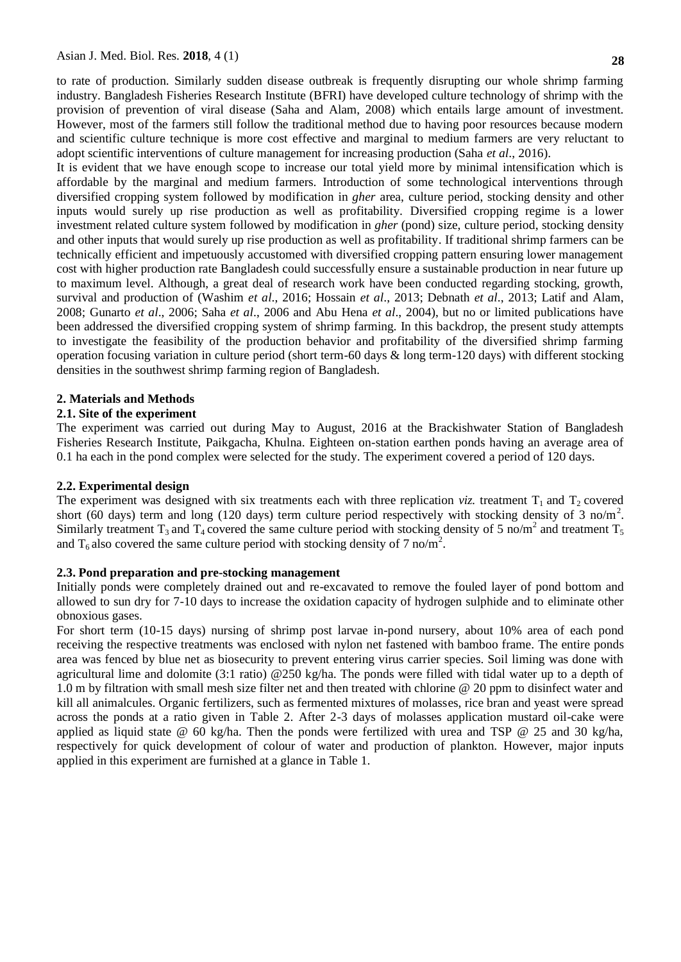to rate of production. Similarly sudden disease outbreak is frequently disrupting our whole shrimp farming industry. Bangladesh Fisheries Research Institute (BFRI) have developed culture technology of shrimp with the provision of prevention of viral disease (Saha and Alam, 2008) which entails large amount of investment. However, most of the farmers still follow the traditional method due to having poor resources because modern and scientific culture technique is more cost effective and marginal to medium farmers are very reluctant to adopt scientific interventions of culture management for increasing production (Saha *et al*., 2016).

It is evident that we have enough scope to increase our total yield more by minimal intensification which is affordable by the marginal and medium farmers. Introduction of some technological interventions through diversified cropping system followed by modification in *gher* area, culture period, stocking density and other inputs would surely up rise production as well as profitability. Diversified cropping regime is a lower investment related culture system followed by modification in *gher* (pond) size, culture period, stocking density and other inputs that would surely up rise production as well as profitability. If traditional shrimp farmers can be technically efficient and impetuously accustomed with diversified cropping pattern ensuring lower management cost with higher production rate Bangladesh could successfully ensure a sustainable production in near future up to maximum level. Although, a great deal of research work have been conducted regarding stocking, growth, survival and production of (Washim *et al*., 2016; Hossain *et al*., 2013; Debnath *et al*., 2013; Latif and Alam, 2008; Gunarto *et al*., 2006; Saha *et al*., 2006 and Abu Hena *et al*., 2004), but no or limited publications have been addressed the diversified cropping system of shrimp farming. In this backdrop, the present study attempts to investigate the feasibility of the production behavior and profitability of the diversified shrimp farming operation focusing variation in culture period (short term-60 days & long term-120 days) with different stocking densities in the southwest shrimp farming region of Bangladesh.

#### **2. Materials and Methods**

#### **2.1. Site of the experiment**

The experiment was carried out during May to August, 2016 at the Brackishwater Station of Bangladesh Fisheries Research Institute, Paikgacha, Khulna. Eighteen on-station earthen ponds having an average area of 0.1 ha each in the pond complex were selected for the study. The experiment covered a period of 120 days.

#### **2.2. Experimental design**

The experiment was designed with six treatments each with three replication *viz*. treatment  $T_1$  and  $T_2$  covered short (60 days) term and long (120 days) term culture period respectively with stocking density of 3 no/m<sup>2</sup>. Similarly treatment T<sub>3</sub> and T<sub>4</sub> covered the same culture period with stocking density of 5 no/m<sup>2</sup> and treatment T<sub>5</sub> and T<sub>6</sub> also covered the same culture period with stocking density of 7 no/m<sup>2</sup>.

#### **2.3. Pond preparation and pre-stocking management**

Initially ponds were completely drained out and re-excavated to remove the fouled layer of pond bottom and allowed to sun dry for 7-10 days to increase the oxidation capacity of hydrogen sulphide and to eliminate other obnoxious gases.

For short term (10-15 days) nursing of shrimp post larvae in-pond nursery, about 10% area of each pond receiving the respective treatments was enclosed with nylon net fastened with bamboo frame. The entire ponds area was fenced by blue net as biosecurity to prevent entering virus carrier species. Soil liming was done with agricultural lime and dolomite (3:1 ratio) @250 kg/ha. The ponds were filled with tidal water up to a depth of 1.0 m by filtration with small mesh size filter net and then treated with chlorine @ 20 ppm to disinfect water and kill all animalcules. Organic fertilizers, such as fermented mixtures of molasses, rice bran and yeast were spread across the ponds at a ratio given in Table 2. After 2-3 days of molasses application mustard oil-cake were applied as liquid state @ 60 kg/ha. Then the ponds were fertilized with urea and TSP @ 25 and 30 kg/ha, respectively for quick development of colour of water and production of plankton. However, major inputs applied in this experiment are furnished at a glance in Table 1.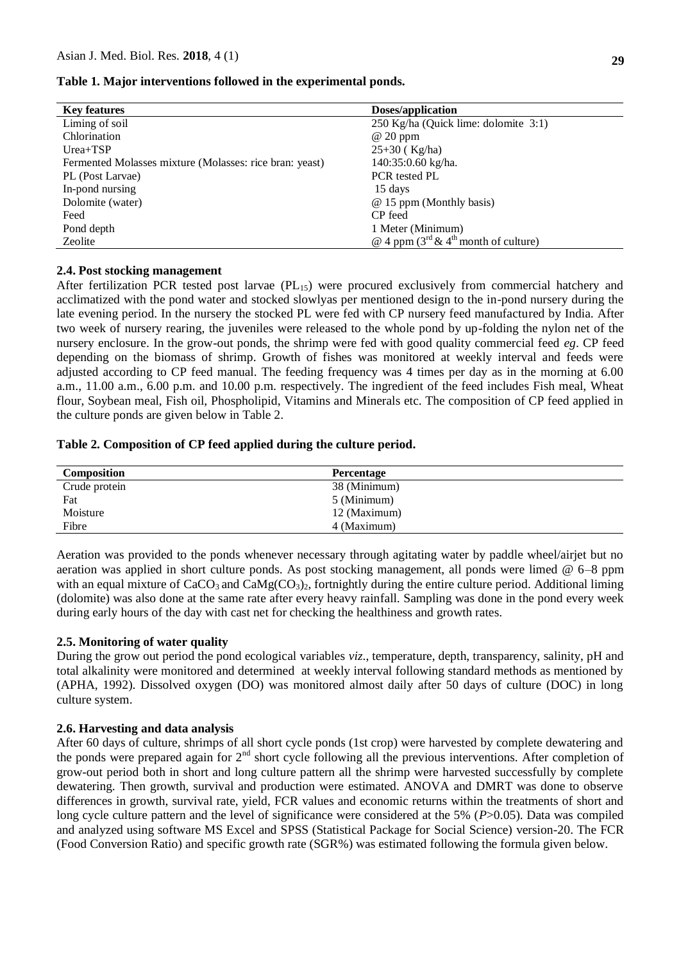## **Table 1. Major interventions followed in the experimental ponds.**

| <b>Key features</b>                                     | Doses/application                                                  |
|---------------------------------------------------------|--------------------------------------------------------------------|
| Liming of soil                                          | 250 Kg/ha (Quick lime: dolomite 3:1)                               |
| Chlorination                                            | $@20$ ppm                                                          |
| $Urea+TSP$                                              | $25+30$ (Kg/ha)                                                    |
| Fermented Molasses mixture (Molasses: rice bran: yeast) | 140:35:0.60 kg/ha.                                                 |
| PL (Post Larvae)                                        | PCR tested PL                                                      |
| In-pond nursing                                         | 15 days                                                            |
| Dolomite (water)                                        | @ 15 ppm (Monthly basis)                                           |
| Feed                                                    | CP feed                                                            |
| Pond depth                                              | 1 Meter (Minimum)                                                  |
| Zeolite                                                 | @ 4 ppm $(3^{\text{rd}} \& 4^{\text{th}} \text{month of culture})$ |

# **2.4. Post stocking management**

After fertilization PCR tested post larvae  $(PL_{15})$  were procured exclusively from commercial hatchery and acclimatized with the pond water and stocked slowlyas per mentioned design to the in-pond nursery during the late evening period. In the nursery the stocked PL were fed with CP nursery feed manufactured by India. After two week of nursery rearing, the juveniles were released to the whole pond by up-folding the nylon net of the nursery enclosure. In the grow-out ponds, the shrimp were fed with good quality commercial feed *eg*. CP feed depending on the biomass of shrimp. Growth of fishes was monitored at weekly interval and feeds were adjusted according to CP feed manual. The feeding frequency was 4 times per day as in the morning at 6.00 a.m., 11.00 a.m., 6.00 p.m. and 10.00 p.m. respectively. The ingredient of the feed includes Fish meal, Wheat flour, Soybean meal, Fish oil, Phospholipid, Vitamins and Minerals etc. The composition of CP feed applied in the culture ponds are given below in Table 2.

# **Table 2. Composition of CP feed applied during the culture period.**

| Composition   | <b>Percentage</b> |
|---------------|-------------------|
| Crude protein | 38 (Minimum)      |
| Fat           | 5 (Minimum)       |
| Moisture      | 12 (Maximum)      |
| Fibre         | 4 (Maximum)       |

Aeration was provided to the ponds whenever necessary through agitating water by paddle wheel/airjet but no aeration was applied in short culture ponds. As post stocking management, all ponds were limed @ 6–8 ppm with an equal mixture of  $CaCO<sub>3</sub>$  and  $CaMg(CO<sub>3</sub>)<sub>2</sub>$ , fortnightly during the entire culture period. Additional liming (dolomite) was also done at the same rate after every heavy rainfall. Sampling was done in the pond every week during early hours of the day with cast net for checking the healthiness and growth rates.

#### **2.5. Monitoring of water quality**

During the grow out period the pond ecological variables *viz*., temperature, depth, transparency, salinity, pH and total alkalinity were monitored and determined at weekly interval following standard methods as mentioned by (APHA, 1992). Dissolved oxygen (DO) was monitored almost daily after 50 days of culture (DOC) in long culture system.

#### **2.6. Harvesting and data analysis**

After 60 days of culture, shrimps of all short cycle ponds (1st crop) were harvested by complete dewatering and the ponds were prepared again for 2<sup>nd</sup> short cycle following all the previous interventions. After completion of grow-out period both in short and long culture pattern all the shrimp were harvested successfully by complete dewatering. Then growth, survival and production were estimated. ANOVA and DMRT was done to observe differences in growth, survival rate, yield, FCR values and economic returns within the treatments of short and long cycle culture pattern and the level of significance were considered at the 5% (*P*>0.05). Data was compiled and analyzed using software MS Excel and SPSS (Statistical Package for Social Science) version-20. The FCR (Food Conversion Ratio) and specific growth rate (SGR%) was estimated following the formula given below.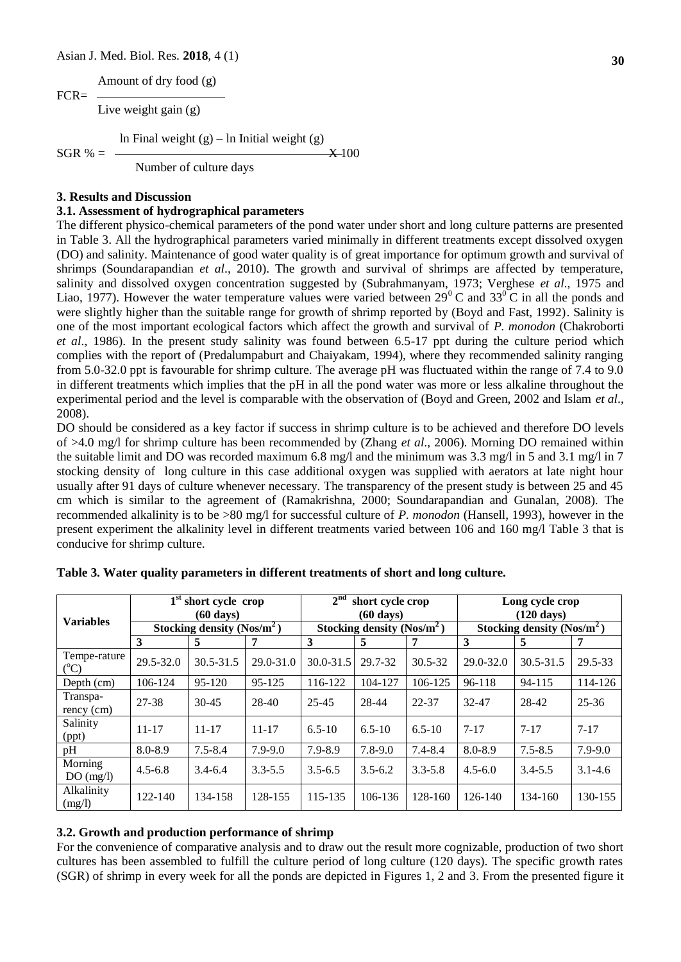Amount of dry food (g)  $FCR=$ 

Live weight gain (g)

ln Final weight (g) – ln Initial weight (g)

 $SGR % =$   $X=100$ Number of culture days

# **3. Results and Discussion**

### **3.1. Assessment of hydrographical parameters**

The different physico-chemical parameters of the pond water under short and long culture patterns are presented in Table 3. All the hydrographical parameters varied minimally in different treatments except dissolved oxygen (DO) and salinity. Maintenance of good water quality is of great importance for optimum growth and survival of shrimps (Soundarapandian *et al*., 2010). The growth and survival of shrimps are affected by temperature, salinity and dissolved oxygen concentration suggested by (Subrahmanyam, 1973; Verghese *et al*., 1975 and Liao, 1977). However the water temperature values were varied between  $29^{\circ}$ C and  $33^{\circ}$ C in all the ponds and were slightly higher than the suitable range for growth of shrimp reported by (Boyd and Fast, 1992). Salinity is one of the most important ecological factors which affect the growth and survival of *P. monodon* (Chakroborti *et al*., 1986). In the present study salinity was found between 6.5-17 ppt during the culture period which complies with the report of (Predalumpaburt and Chaiyakam, 1994), where they recommended salinity ranging from 5.0-32.0 ppt is favourable for shrimp culture. The average pH was fluctuated within the range of 7.4 to 9.0 in different treatments which implies that the pH in all the pond water was more or less alkaline throughout the experimental period and the level is comparable with the observation of (Boyd and Green, 2002 and Islam *et al*., 2008).

DO should be considered as a key factor if success in shrimp culture is to be achieved and therefore DO levels of >4.0 mg/l for shrimp culture has been recommended by (Zhang *et al*., 2006). Morning DO remained within the suitable limit and DO was recorded maximum 6.8 mg/l and the minimum was 3.3 mg/l in 5 and 3.1 mg/l in 7 stocking density of long culture in this case additional oxygen was supplied with aerators at late night hour usually after 91 days of culture whenever necessary. The transparency of the present study is between 25 and 45 cm which is similar to the agreement of (Ramakrishna, 2000; Soundarapandian and Gunalan, 2008). The recommended alkalinity is to be >80 mg/l for successful culture of *P. monodon* (Hansell, 1993), however in the present experiment the alkalinity level in different treatments varied between 106 and 160 mg/l Table 3 that is conducive for shrimp culture.

|                                 | $1st$ short cycle crop<br>$(60 \text{ days})$ |                                |               | 2 <sup>nd</sup> | short cycle crop<br>$(60 \text{ days})$ |             | Long cycle crop<br>$(120 \text{ days})$ |               |             |  |
|---------------------------------|-----------------------------------------------|--------------------------------|---------------|-----------------|-----------------------------------------|-------------|-----------------------------------------|---------------|-------------|--|
| <b>Variables</b>                |                                               | Stocking density (Nos/ $m^2$ ) |               |                 | Stocking density $(Nos/m^2)$            |             | Stocking density (Nos/ $m^2$ )          |               |             |  |
|                                 | 3                                             | 5                              |               | 3               | 5                                       |             | 3                                       | 5             |             |  |
| Tempe-rature<br>$({}^{\circ}C)$ | 29.5-32.0                                     | $30.5 - 31.5$                  | $29.0 - 31.0$ | $30.0 - 31.5$   | 29.7-32                                 | $30.5 - 32$ | $29.0 - 32.0$                           | $30.5 - 31.5$ | 29.5-33     |  |
| Depth $(cm)$                    | 106-124                                       | 95-120                         | 95-125        | 116-122         | 104-127                                 | 106-125     | 96-118                                  | 94-115        | 114-126     |  |
| Transpa-<br>$rency$ (cm)        | 27-38                                         | $30-45$                        | $28-40$       | $25 - 45$       | 28-44                                   | 22-37       | 32-47                                   | 28-42         | $25 - 36$   |  |
| Salinity<br>(ppt)               | $11 - 17$                                     | $11 - 17$                      | $11 - 17$     | $6.5 - 10$      | $6.5 - 10$                              | $6.5 - 10$  | $7 - 17$                                | $7 - 17$      | $7 - 17$    |  |
| pH                              | $8.0 - 8.9$                                   | $7.5 - 8.4$                    | $7.9 - 9.0$   | 7.9-8.9         | $7.8 - 9.0$                             | $7.4 - 8.4$ | $8.0 - 8.9$                             | $7.5 - 8.5$   | $7.9 - 9.0$ |  |
| Morning<br>DO(mg/l)             | $4.5 - 6.8$                                   | $3.4 - 6.4$                    | $3.3 - 5.5$   | $3.5 - 6.5$     | $3.5 - 6.2$                             | $3.3 - 5.8$ | $4.5 - 6.0$                             | $3.4 - 5.5$   | $3.1 - 4.6$ |  |
| Alkalinity<br>(mg/l)            | 122-140                                       | 134-158                        | 128-155       | 115-135         | 106-136                                 | 128-160     | 126-140                                 | 134-160       | 130-155     |  |

|  | Table 3. Water quality parameters in different treatments of short and long culture. |  |  |  |  |  |
|--|--------------------------------------------------------------------------------------|--|--|--|--|--|
|  |                                                                                      |  |  |  |  |  |

#### **3.2. Growth and production performance of shrimp**

For the convenience of comparative analysis and to draw out the result more cognizable, production of two short cultures has been assembled to fulfill the culture period of long culture (120 days). The specific growth rates (SGR) of shrimp in every week for all the ponds are depicted in Figures 1, 2 and 3. From the presented figure it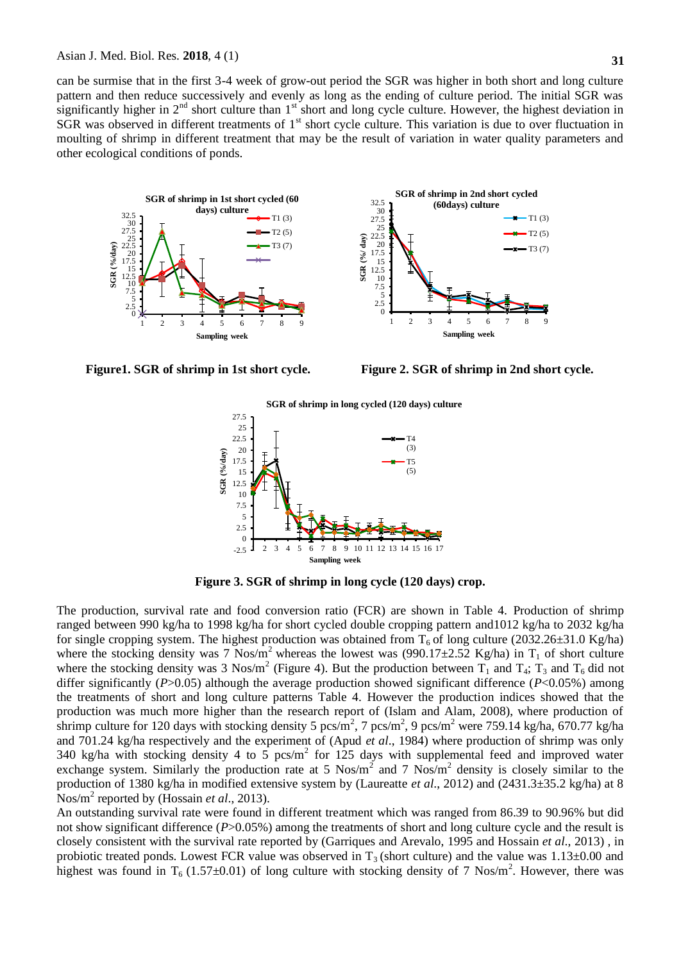can be surmise that in the first 3-4 week of grow-out period the SGR was higher in both short and long culture pattern and then reduce successively and evenly as long as the ending of culture period. The initial SGR was significantly higher in  $2^{nd}$  short culture than  $1^{st}$  short and long cycle culture. However, the highest deviation in  $SGR$  was observed in different treatments of  $1<sup>st</sup>$  short cycle culture. This variation is due to over fluctuation in moulting of shrimp in different treatment that may be the result of variation in water quality parameters and other ecological conditions of ponds.





**Figure1. SGR of shrimp in 1st short cycle. Figure 2. SGR of shrimp in 2nd short cycle.**



**Figure 3. SGR of shrimp in long cycle (120 days) crop.**

The production, survival rate and food conversion ratio (FCR) are shown in Table 4. Production of shrimp ranged between 990 kg/ha to 1998 kg/ha for short cycled double cropping pattern and1012 kg/ha to 2032 kg/ha for single cropping system. The highest production was obtained from  $T_6$  of long culture (2032.26 $\pm$ 31.0 Kg/ha) where the stocking density was 7 Nos/m<sup>2</sup> whereas the lowest was (990.17 $\pm$ 2.52 Kg/ha) in T<sub>1</sub> of short culture where the stocking density was 3 Nos/m<sup>2</sup> (Figure 4). But the production between  $T_1$  and  $T_4$ ;  $T_3$  and  $T_6$  did not differ significantly (*P*>0.05) although the average production showed significant difference (*P*<0.05%) among the treatments of short and long culture patterns Table 4. However the production indices showed that the production was much more higher than the research report of (Islam and Alam, 2008), where production of shrimp culture for 120 days with stocking density 5  $pcs/m^2$ , 7  $pcs/m^2$ , 9  $pcs/m^2$  were 759.14 kg/ha, 670.77 kg/ha and 701.24 kg/ha respectively and the experiment of (Apud *et al*., 1984) where production of shrimp was only 340 kg/ha with stocking density 4 to 5 pcs/m<sup>2</sup> for 125 days with supplemental feed and improved water exchange system. Similarly the production rate at 5  $Nos/m<sup>2</sup>$  and 7  $Nos/m<sup>2</sup>$  density is closely similar to the production of 1380 kg/ha in modified extensive system by (Laureatte *et al*., 2012) and (2431.3±35.2 kg/ha) at 8 Nos/m<sup>2</sup> reported by (Hossain *et al.*, 2013).

An outstanding survival rate were found in different treatment which was ranged from 86.39 to 90.96% but did not show significant difference (*P*>0.05%) among the treatments of short and long culture cycle and the result is closely consistent with the survival rate reported by (Garriques and Arevalo, 1995 and Hossain *et al*., 2013) , in probiotic treated ponds. Lowest FCR value was observed in  $T_3$  (short culture) and the value was 1.13±0.00 and highest was found in  $T_6$  (1.57 $\pm$ 0.01) of long culture with stocking density of 7 Nos/m<sup>2</sup>. However, there was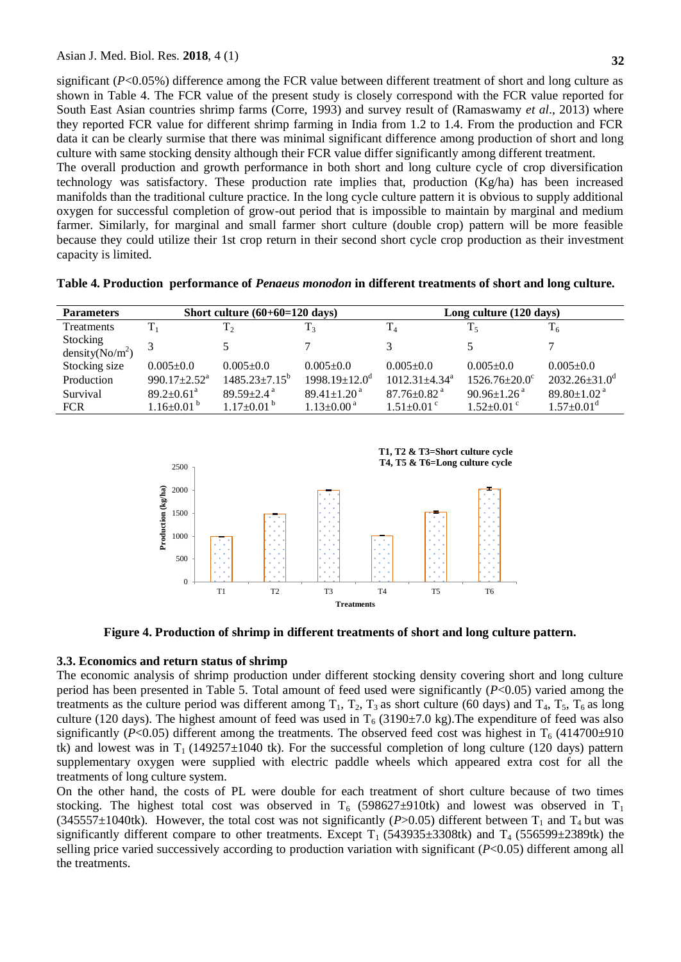significant (*P*<0.05%) difference among the FCR value between different treatment of short and long culture as shown in Table 4. The FCR value of the present study is closely correspond with the FCR value reported for South East Asian countries shrimp farms (Corre, 1993) and survey result of (Ramaswamy *et al*., 2013) where they reported FCR value for different shrimp farming in India from 1.2 to 1.4. From the production and FCR data it can be clearly surmise that there was minimal significant difference among production of short and long culture with same stocking density although their FCR value differ significantly among different treatment.

The overall production and growth performance in both short and long culture cycle of crop diversification technology was satisfactory. These production rate implies that, production (Kg/ha) has been increased manifolds than the traditional culture practice. In the long cycle culture pattern it is obvious to supply additional oxygen for successful completion of grow-out period that is impossible to maintain by marginal and medium farmer. Similarly, for marginal and small farmer short culture (double crop) pattern will be more feasible because they could utilize their 1st crop return in their second short cycle crop production as their investment capacity is limited.

|  |  | Table 4. Production performance of Penaeus monodon in different treatments of short and long culture. |  |  |  |
|--|--|-------------------------------------------------------------------------------------------------------|--|--|--|
|--|--|-------------------------------------------------------------------------------------------------------|--|--|--|

| <b>Parameters</b>  |                                | Short culture $(60+60=120$ days) |                                 | Long culture (120 days)         |                               |                               |  |
|--------------------|--------------------------------|----------------------------------|---------------------------------|---------------------------------|-------------------------------|-------------------------------|--|
| Treatments         | $T_1$                          | T <sub>2</sub>                   | T <sub>3</sub>                  | $T_4$                           | T,                            | $\rm T_6$                     |  |
| Stocking           |                                |                                  |                                 | 3                               |                               |                               |  |
| density( $No/m2$ ) |                                |                                  |                                 |                                 |                               |                               |  |
| Stocking size      | $0.005 \pm 0.0$                | $0.005 \pm 0.0$                  | $0.005 \pm 0.0$                 | $0.005 \pm 0.0$                 | $0.005 \pm 0.0$               | $0.005 \pm 0.0$               |  |
| Production         | 990.17 $\pm$ 2.52 <sup>a</sup> | $1485.23 \pm 7.15^{\circ}$       | $1998.19 \pm 12.0$ <sup>d</sup> | $1012.31 \pm 4.34$ <sup>a</sup> | $1526.76 \pm 20.0^{\circ}$    | $2032.26 \pm 31.0^d$          |  |
| Survival           | $89.2 \pm 0.61$ <sup>a</sup>   | $89.59 \pm 2.4$ <sup>a</sup>     | $89.41 \pm 1.20$ <sup>a</sup>   | $87.76 \pm 0.82$ <sup>a</sup>   | $90.96 \pm 1.26$ <sup>a</sup> | $89.80 \pm 1.02$ <sup>a</sup> |  |
| <b>FCR</b>         | $1.16 \pm 0.01^{b}$            | $1.17\pm0.01^{b}$                | $1.13 \pm 0.00^{\text{a}}$      | $1.51 \pm 0.01$ °               | $1.52 \pm 0.01$ <sup>c</sup>  | $1.57 \pm 0.01$ <sup>d</sup>  |  |



**Figure 4. Production of shrimp in different treatments of short and long culture pattern.**

#### **3.3. Economics and return status of shrimp**

The economic analysis of shrimp production under different stocking density covering short and long culture period has been presented in Table 5. Total amount of feed used were significantly (*P*<0.05) varied among the treatments as the culture period was different among  $T_1$ ,  $T_2$ ,  $T_3$  as short culture (60 days) and  $T_4$ ,  $T_5$ ,  $T_6$  as long culture (120 days). The highest amount of feed was used in  $T_6$  (3190±7.0 kg). The expenditure of feed was also significantly ( $P<0.05$ ) different among the treatments. The observed feed cost was highest in  $T_6$  (414700±910 tk) and lowest was in  $T_1$  (149257 $\pm$ 1040 tk). For the successful completion of long culture (120 days) pattern supplementary oxygen were supplied with electric paddle wheels which appeared extra cost for all the treatments of long culture system.

On the other hand, the costs of PL were double for each treatment of short culture because of two times stocking. The highest total cost was observed in  $T_6$  (598627±910tk) and lowest was observed in  $T_1$ (345557±1040tk). However, the total cost was not significantly ( $P > 0.05$ ) different between T<sub>1</sub> and T<sub>4</sub> but was significantly different compare to other treatments. Except  $T_1$  (543935±3308tk) and  $T_4$  (556599±2389tk) the selling price varied successively according to production variation with significant (*P*<0.05) different among all the treatments.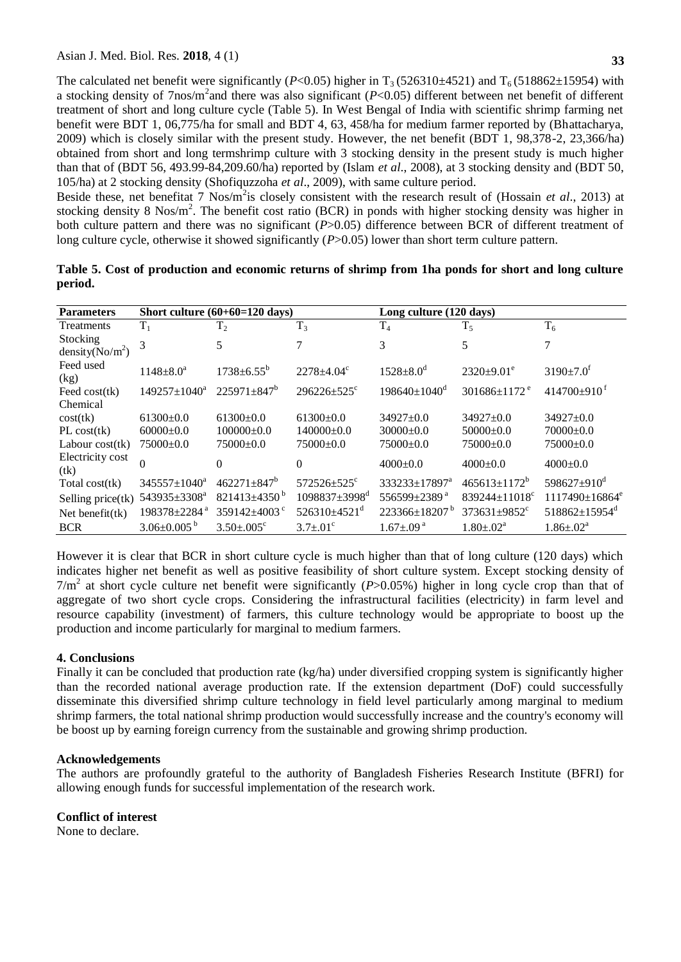The calculated net benefit were significantly ( $P<0.05$ ) higher in T<sub>3</sub> (526310±4521) and T<sub>6</sub> (518862±15954) with a stocking density of 7nos/m<sup>2</sup> and there was also significant (*P*<0.05) different between net benefit of different treatment of short and long culture cycle (Table 5). In West Bengal of India with scientific shrimp farming net benefit were BDT 1, 06,775/ha for small and BDT 4, 63, 458/ha for medium farmer reported by (Bhattacharya, 2009) which is closely similar with the present study. However, the net benefit (BDT 1, 98,378-2, 23,366/ha) obtained from short and long termshrimp culture with 3 stocking density in the present study is much higher than that of (BDT 56, 493.99-84,209.60/ha) reported by (Islam *et al*., 2008), at 3 stocking density and (BDT 50, 105/ha) at 2 stocking density (Shofiquzzoha *et al*., 2009), with same culture period.

Beside these, net benefitat 7 Nos/m<sup>2</sup>is closely consistent with the research result of (Hossain *et al.*, 2013) at stocking density 8 Nos/ $m^2$ . The benefit cost ratio (BCR) in ponds with higher stocking density was higher in both culture pattern and there was no significant (*P*>0.05) difference between BCR of different treatment of long culture cycle, otherwise it showed significantly (*P*>0.05) lower than short term culture pattern.

| <b>Parameters</b>              |                          | Short culture $(60+60=120$ days) |                                 | Long culture (120 days)         |                                 |                                  |  |
|--------------------------------|--------------------------|----------------------------------|---------------------------------|---------------------------------|---------------------------------|----------------------------------|--|
| Treatments                     | $T_1$                    | T <sub>2</sub>                   | $T_3$                           | T <sub>4</sub>                  | $T_5$                           | $T_6$                            |  |
| Stocking<br>density( $No/m2$ ) | 3                        | 5                                | 7                               | 3                               | 5                               | 7                                |  |
| Feed used<br>(kg)              | $1148 \pm 8.0^a$         | $1738 + 6.55^b$                  | $2278 + 4.04^{\circ}$           | $1528 \pm 8.0^d$                | $2320+9.01^e$                   | $3190 \pm 7.0$ <sup>f</sup>      |  |
| Feed $cost(tk)$                | $149257 \pm 1040^a$      | $225971 \pm 847^b$               | $296226 \pm 525$ <sup>c</sup>   | $198640 \pm 1040$ <sup>d</sup>  | $301686 \pm 1172$ <sup>e</sup>  | $414700+910^{f}$                 |  |
| Chemical                       |                          |                                  |                                 |                                 |                                 |                                  |  |
| cost(tk)                       | $61300 \pm 0.0$          | $61300+0.0$                      | $61300 \pm 0.0$                 | $34927+0.0$                     | $34927 \pm 0.0$                 | $34927+0.0$                      |  |
| PL cost(tk)                    | $60000 \pm 0.0$          | $100000 \pm 0.0$                 | $140000+0.0$                    | $30000 \pm 0.0$                 | $50000 \pm 0.0$                 | $70000+0.0$                      |  |
| Labour $cost(tk)$              | $75000 \pm 0.0$          | $75000 \pm 0.0$                  | $75000 \pm 0.0$                 | $75000+0.0$                     | $75000 \pm 0.0$                 | $75000 \pm 0.0$                  |  |
| Electricity cost<br>(tk)       | $\Omega$                 | $\Omega$                         | $\Omega$                        | $4000+0.0$                      | $4000+0.0$                      | $4000+0.0$                       |  |
| Total cost(tk)                 | $345557 \pm 1040^a$      | $462271 \pm 847$ <sup>b</sup>    | $572526 \pm 525$ <sup>c</sup>   | 333233±17897 <sup>a</sup>       | $465613 \pm 1172$ <sup>b</sup>  | 598627 $\pm$ 910 <sup>d</sup>    |  |
| Selling price(tk)              | 543935±3308 <sup>a</sup> | $821413 \pm 4350$ <sup>b</sup>   | $1098837 \pm 3998$ <sup>d</sup> | 556599±2389 <sup>a</sup>        | $839244 \pm 11018$ <sup>c</sup> | $1117490 \pm 16864$ <sup>e</sup> |  |
| Net benefit $(tk)$             | 198378±2284 <sup>a</sup> | 359142 $\pm$ 4003 $\degree$      | $526310\pm4521$ <sup>d</sup>    | $223366 \pm 18207$ <sup>b</sup> | $373631 \pm 9852$ <sup>c</sup>  | $518862 \pm 15954$ <sup>d</sup>  |  |
| <b>BCR</b>                     | $3.06 \pm 0.005^{b}$     | $3.50 \pm 0.005$ <sup>c</sup>    | $3.7 \pm .01^{\circ}$           | $1.67 \pm .09$ <sup>a</sup>     | $1.80 \pm .02^{\text{a}}$       | $1.86 \pm .02^a$                 |  |

**Table 5. Cost of production and economic returns of shrimp from 1ha ponds for short and long culture period.**

However it is clear that BCR in short culture cycle is much higher than that of long culture (120 days) which indicates higher net benefit as well as positive feasibility of short culture system. Except stocking density of  $7/m<sup>2</sup>$  at short cycle culture net benefit were significantly ( $P > 0.05\%$ ) higher in long cycle crop than that of aggregate of two short cycle crops. Considering the infrastructural facilities (electricity) in farm level and resource capability (investment) of farmers, this culture technology would be appropriate to boost up the production and income particularly for marginal to medium farmers.

# **4. Conclusions**

Finally it can be concluded that production rate (kg/ha) under diversified cropping system is significantly higher than the recorded national average production rate. If the extension department (DoF) could successfully disseminate this diversified shrimp culture technology in field level particularly among marginal to medium shrimp farmers, the total national shrimp production would successfully increase and the country's economy will be boost up by earning foreign currency from the sustainable and growing shrimp production.

# **Acknowledgements**

The authors are profoundly grateful to the authority of Bangladesh Fisheries Research Institute (BFRI) for allowing enough funds for successful implementation of the research work.

# **Conflict of interest**

None to declare.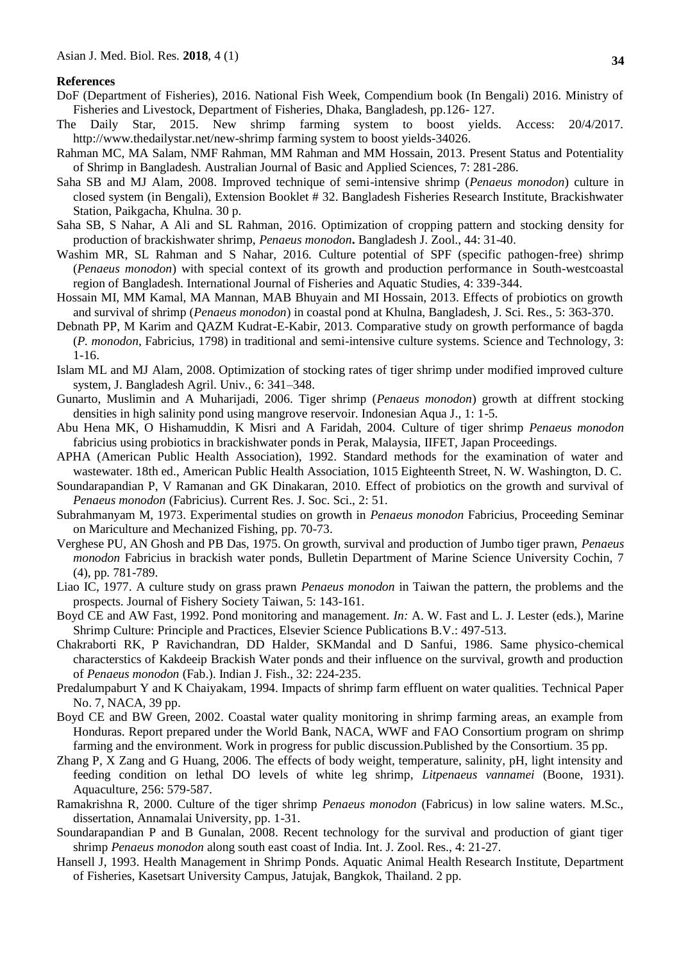#### **References**

- DoF (Department of Fisheries), 2016. National Fish Week, Compendium book (In Bengali) 2016. Ministry of Fisheries and Livestock, Department of Fisheries, Dhaka, Bangladesh, pp.126- 127.
- The Daily Star, 2015. New shrimp farming system to boost yields. Access: 20/4/2017. http://www.thedailystar.net/new-shrimp farming system to boost yields-34026.
- Rahman MC, MA Salam, NMF Rahman, MM Rahman and MM Hossain, 2013. Present Status and Potentiality of Shrimp in Bangladesh. Australian Journal of Basic and Applied Sciences, 7: 281-286.
- Saha SB and MJ Alam, 2008. Improved technique of semi-intensive shrimp (*Penaeus monodon*) culture in closed system (in Bengali), Extension Booklet # 32. Bangladesh Fisheries Research Institute, Brackishwater Station, Paikgacha, Khulna. 30 p.
- Saha SB, S Nahar, A Ali and SL Rahman, 2016. Optimization of cropping pattern and stocking density for production of brackishwater shrimp, *Penaeus monodon***.** Bangladesh J. Zool., 44: 31-40.
- Washim MR, SL Rahman and S Nahar, 2016. Culture potential of SPF (specific pathogen-free) shrimp (*Penaeus monodon*) with special context of its growth and production performance in South-westcoastal region of Bangladesh. International Journal of Fisheries and Aquatic Studies, 4: 339-344.
- Hossain MI, MM Kamal, MA Mannan, MAB Bhuyain and MI Hossain, 2013. Effects of probiotics on growth and survival of shrimp (*Penaeus monodon*) in coastal pond at Khulna, Bangladesh, J. Sci. Res., 5: 363-370.
- Debnath PP, M Karim and QAZM Kudrat-E-Kabir, 2013. Comparative study on growth performance of bagda (*P. monodon*, Fabricius, 1798) in traditional and semi-intensive culture systems. Science and Technology, 3: 1-16.
- Islam ML and MJ Alam, 2008. Optimization of stocking rates of tiger shrimp under modified improved culture system, J. Bangladesh Agril. Univ., 6: 341–348.
- Gunarto, Muslimin and A Muharijadi, 2006. Tiger shrimp (*Penaeus monodon*) growth at diffrent stocking densities in high salinity pond using mangrove reservoir. Indonesian Aqua J., 1: 1-5.
- Abu Hena MK, O Hishamuddin, K Misri and A Faridah, 2004. Culture of tiger shrimp *Penaeus monodon*  fabricius using probiotics in brackishwater ponds in Perak, Malaysia, IIFET, Japan Proceedings.
- APHA (American Public Health Association), 1992. Standard methods for the examination of water and wastewater. 18th ed., American Public Health Association, 1015 Eighteenth Street, N. W. Washington, D. C.
- Soundarapandian P, V Ramanan and GK Dinakaran, 2010. Effect of probiotics on the growth and survival of *Penaeus monodon* (Fabricius). Current Res. J. Soc. Sci., 2: 51.
- Subrahmanyam M, 1973. Experimental studies on growth in *Penaeus monodon* Fabricius, Proceeding Seminar on Mariculture and Mechanized Fishing, pp. 70-73.
- Verghese PU, AN Ghosh and PB Das, 1975. On growth, survival and production of Jumbo tiger prawn, *Penaeus monodon* Fabricius in brackish water ponds, Bulletin Department of Marine Science University Cochin, 7 (4), pp. 781-789.
- Liao IC, 1977. A culture study on grass prawn *Penaeus monodon* in Taiwan the pattern, the problems and the prospects. Journal of Fishery Society Taiwan, 5: 143-161.
- Boyd CE and AW Fast, 1992. Pond monitoring and management. *In:* A. W. Fast and L. J. Lester (eds.), Marine Shrimp Culture: Principle and Practices*,* Elsevier Science Publications B.V.: 497-513.
- Chakraborti RK, P Ravichandran, DD Halder, SKMandal and D Sanfui, 1986. Same physico-chemical characterstics of Kakdeeip Brackish Water ponds and their influence on the survival, growth and production of *Penaeus monodon* (Fab.). Indian J. Fish., 32: 224-235.
- Predalumpaburt Y and K Chaiyakam, 1994. Impacts of shrimp farm effluent on water qualities. Technical Paper No. 7, NACA, 39 pp.
- Boyd CE and BW Green, 2002. Coastal water quality monitoring in shrimp farming areas, an example from Honduras. Report prepared under the World Bank, NACA, WWF and FAO Consortium program on shrimp farming and the environment. Work in progress for public discussion.Published by the Consortium. 35 pp.
- Zhang P, X Zang and G Huang, 2006. The effects of body weight, temperature, salinity, pH, light intensity and feeding condition on lethal DO levels of white leg shrimp, *Litpenaeus vannamei* (Boone, 1931). Aquaculture, 256: 579-587.
- Ramakrishna R, 2000. Culture of the tiger shrimp *Penaeus monodon* (Fabricus) in low saline waters. M.Sc., dissertation, Annamalai University, pp. 1-31.
- Soundarapandian P and B Gunalan, 2008. Recent technology for the survival and production of giant tiger shrimp *Penaeus monodon* along south east coast of India. Int. J. Zool. Res., 4: 21-27.
- Hansell J, 1993. Health Management in Shrimp Ponds. Aquatic Animal Health Research Institute, Department of Fisheries, Kasetsart University Campus, Jatujak, Bangkok, Thailand. 2 pp.